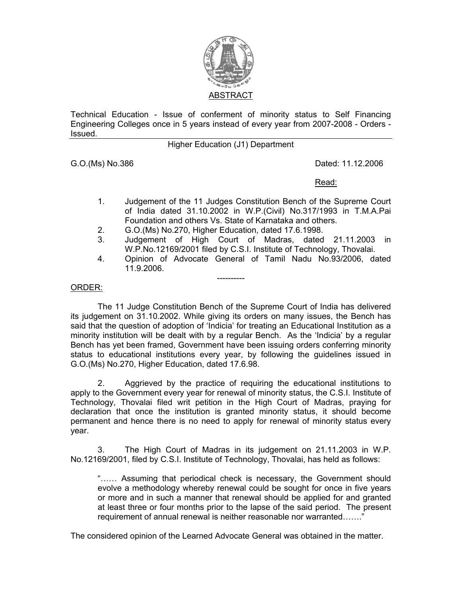

Technical Education - Issue of conferment of minority status to Self Financing Engineering Colleges once in 5 years instead of every year from 2007-2008 - Orders - Issued.

## Higher Education (J1) Department

G.O.(Ms) No.386 Dated: 11.12.2006

<u>Read: Album and Album and Album and Album and Album and Album and Album and Album and Album and Album and Albu</u>

- 1. Judgement of the 11 Judges Constitution Bench of the Supreme Court of India dated 31.10.2002 in W.P.(Civil) No.317/1993 in T.M.A.Pai Foundation and others Vs. State of Karnataka and others.
- 2. G.O.(Ms) No.270, Higher Education, dated 17.6.1998.
- 3. Judgement of High Court of Madras, dated 21.11.2003 in W.P.No.12169/2001 filed by C.S.I. Institute of Technology, Thovalai.
- 4. Opinion of Advocate General of Tamil Nadu No.93/2006, dated 11.9.2006.

## ORDER:

The 11 Judge Constitution Bench of the Supreme Court of India has delivered its judgement on 31.10.2002. While giving its orders on many issues, the Bench has said that the question of adoption of 'Indicia' for treating an Educational Institution as a minority institution will be dealt with by a regular Bench. As the 'Indicia' by a regular Bench has yet been framed, Government have been issuing orders conferring minority status to educational institutions every year, by following the guidelines issued in G.O.(Ms) No.270, Higher Education, dated 17.6.98.

----------

2. Aggrieved by the practice of requiring the educational institutions to apply to the Government every year for renewal of minority status, the C.S.I. Institute of Technology, Thovalai filed writ petition in the High Court of Madras, praying for declaration that once the institution is granted minority status, it should become permanent and hence there is no need to apply for renewal of minority status every year.

3. The High Court of Madras in its judgement on 21.11.2003 in W.P. No.12169/2001, filed by C.S.I. Institute of Technology, Thovalai, has held as follows:

"…… Assuming that periodical check is necessary, the Government should evolve a methodology whereby renewal could be sought for once in five years or more and in such a manner that renewal should be applied for and granted at least three or four months prior to the lapse of the said period. The present requirement of annual renewal is neither reasonable nor warranted……."

The considered opinion of the Learned Advocate General was obtained in the matter.